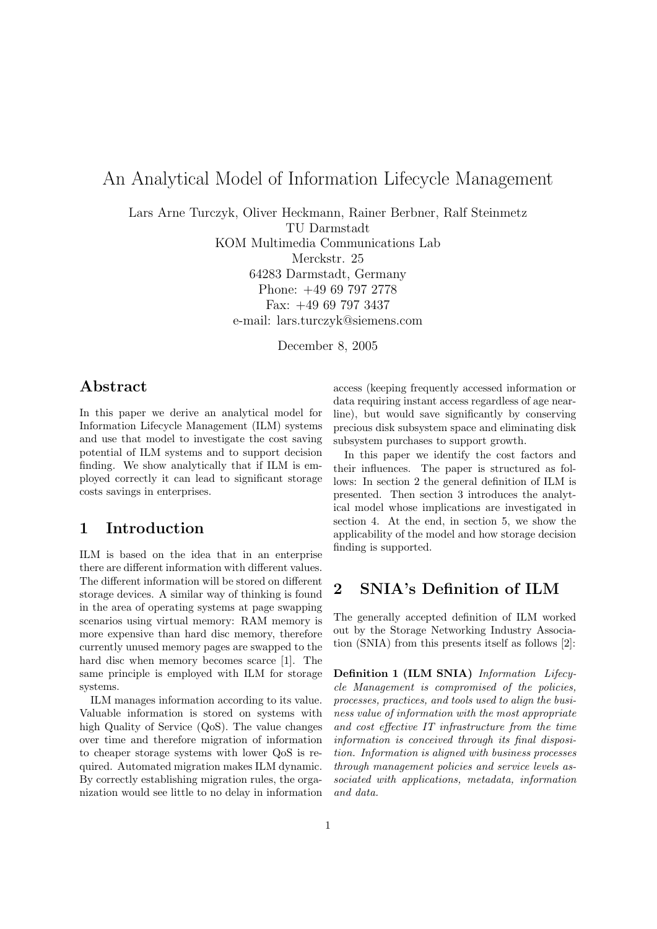# An Analytical Model of Information Lifecycle Management

Lars Arne Turczyk, Oliver Heckmann, Rainer Berbner, Ralf Steinmetz

TU Darmstadt

KOM Multimedia Communications Lab

Merckstr. 25

64283 Darmstadt, Germany Phone: +49 69 797 2778 Fax: +49 69 797 3437 e-mail: lars.turczyk@siemens.com

December 8, 2005

## Abstract

In this paper we derive an analytical model for Information Lifecycle Management (ILM) systems and use that model to investigate the cost saving potential of ILM systems and to support decision finding. We show analytically that if ILM is employed correctly it can lead to significant storage costs savings in enterprises.

## 1 Introduction

ILM is based on the idea that in an enterprise there are different information with different values. The different information will be stored on different storage devices. A similar way of thinking is found in the area of operating systems at page swapping scenarios using virtual memory: RAM memory is more expensive than hard disc memory, therefore currently unused memory pages are swapped to the hard disc when memory becomes scarce [1]. The same principle is employed with ILM for storage systems.

ILM manages information according to its value. Valuable information is stored on systems with high Quality of Service (QoS). The value changes over time and therefore migration of information to cheaper storage systems with lower QoS is required. Automated migration makes ILM dynamic. By correctly establishing migration rules, the organization would see little to no delay in information access (keeping frequently accessed information or data requiring instant access regardless of age nearline), but would save significantly by conserving precious disk subsystem space and eliminating disk subsystem purchases to support growth.

In this paper we identify the cost factors and their influences. The paper is structured as follows: In section 2 the general definition of ILM is presented. Then section 3 introduces the analytical model whose implications are investigated in section 4. At the end, in section 5, we show the applicability of the model and how storage decision finding is supported.

## 2 SNIA's Definition of ILM

The generally accepted definition of ILM worked out by the Storage Networking Industry Association (SNIA) from this presents itself as follows [2]:

Definition 1 (ILM SNIA) Information Lifecycle Management is compromised of the policies, processes, practices, and tools used to align the business value of information with the most appropriate and cost effective IT infrastructure from the time information is conceived through its final disposition. Information is aligned with business processes through management policies and service levels associated with applications, metadata, information and data.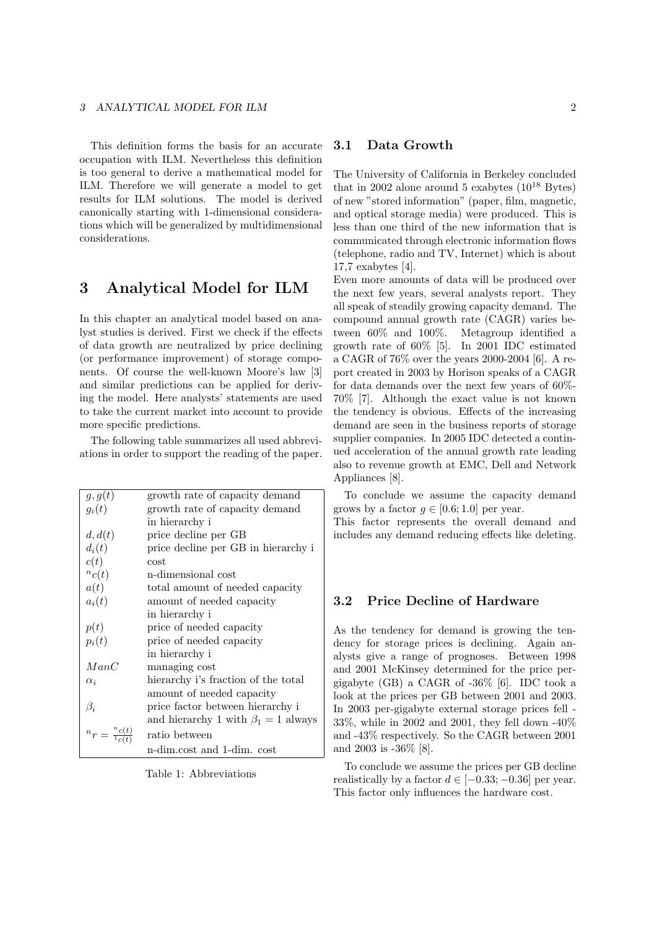This definition forms the basis for an accurate occupation with ILM. Nevertheless this definition is too general to derive a mathematical model for ILM. Therefore we will generate a model to get results for ILM solutions. The model is derived canonically starting with 1-dimensional considerations which will be generalized by multidimensional considerations.

## 3 Analytical Model for ILM

In this chapter an analytical model based on analyst studies is derived. First we check if the effects of data growth are neutralized by price declining (or performance improvement) of storage components. Of course the well-known Moore's law [3] and similar predictions can be applied for deriving the model. Here analysts' statements are used to take the current market into account to provide more specific predictions.

The following table summarizes all used abbreviations in order to support the reading of the paper.

| g, g(t)                       | growth rate of capacity demand            |
|-------------------------------|-------------------------------------------|
| $g_i(t)$                      | growth rate of capacity demand            |
|                               | in hierarchy i                            |
| d, d(t)                       | price decline per GB                      |
| $d_i(t)$                      | price decline per GB in hierarchy i       |
| c(t)                          | cost.                                     |
| ${}^nc(t)$                    | n-dimensional cost                        |
| a(t)                          | total amount of needed capacity           |
| $a_i(t)$                      | amount of needed capacity                 |
|                               | in hierarchy i                            |
| p(t)                          | price of needed capacity                  |
| $p_i(t)$                      | price of needed capacity                  |
|                               | in hierarchy i                            |
| ManC                          | managing cost                             |
| $\alpha_i$                    | hierarchy i's fraction of the total       |
|                               | amount of needed capacity                 |
| $\beta_i$                     | price factor between hierarchy i          |
|                               | and hierarchy 1 with $\beta_1 = 1$ always |
| $n_r = \frac{n_c(t)}{1_c(t)}$ | ratio between                             |
|                               | n-dim.cost and 1-dim. cost                |

Table 1: Abbreviations

### 3.1 Data Growth

The University of California in Berkeley concluded that in 2002 alone around 5 exabytes  $(10^{18}$  Bytes) of new "stored information" (paper, film, magnetic, and optical storage media) were produced. This is less than one third of the new information that is communicated through electronic information flows (telephone, radio and TV, Internet) which is about 17,7 exabytes [4].

Even more amounts of data will be produced over the next few years, several analysts report. They all speak of steadily growing capacity demand. The compound annual growth rate (CAGR) varies between 60% and 100%. Metagroup identified a growth rate of 60% [5]. In 2001 IDC estimated a CAGR of 76% over the years 2000-2004 [6]. A report created in 2003 by Horison speaks of a CAGR for data demands over the next few years of 60%- 70% [7]. Although the exact value is not known the tendency is obvious. Effects of the increasing demand are seen in the business reports of storage supplier companies. In 2005 IDC detected a continued acceleration of the annual growth rate leading also to revenue growth at EMC, Dell and Network Appliances [8].

To conclude we assume the capacity demand grows by a factor  $g \in [0.6; 1.0]$  per year.

This factor represents the overall demand and includes any demand reducing effects like deleting.

#### 3.2 Price Decline of Hardware

As the tendency for demand is growing the tendency for storage prices is declining. Again analysts give a range of prognoses. Between 1998 and 2001 McKinsey determined for the price pergigabyte (GB) a CAGR of -36% [6]. IDC took a look at the prices per GB between 2001 and 2003. In 2003 per-gigabyte external storage prices fell - 33%, while in 2002 and 2001, they fell down -40% and -43% respectively. So the CAGR between 2001 and 2003 is -36% [8].

To conclude we assume the prices per GB decline realistically by a factor  $d \in [-0.33; -0.36]$  per year. This factor only influences the hardware cost.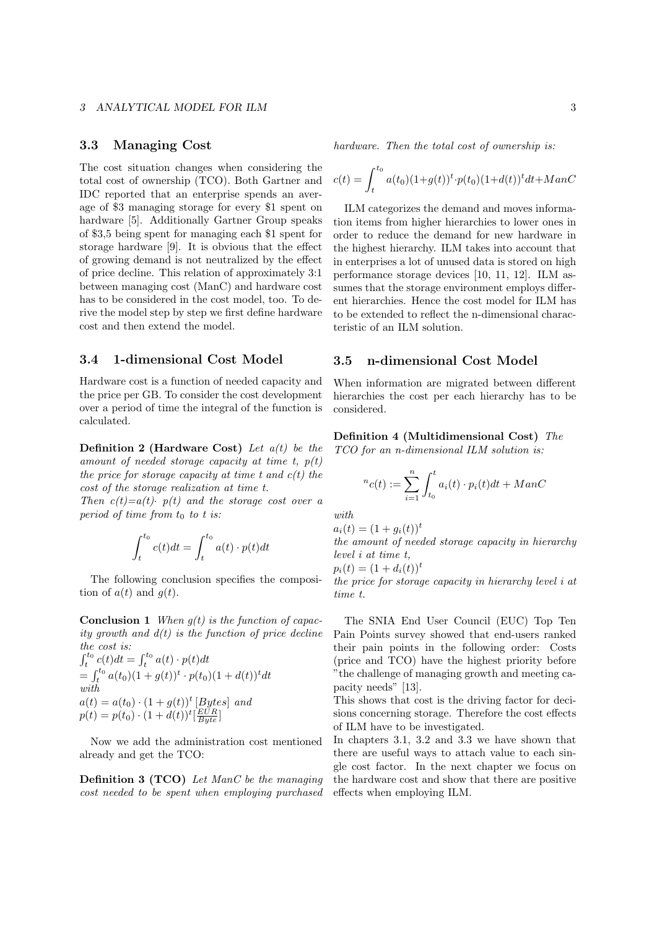#### 3.3 Managing Cost

The cost situation changes when considering the total cost of ownership (TCO). Both Gartner and IDC reported that an enterprise spends an average of \$3 managing storage for every \$1 spent on hardware [5]. Additionally Gartner Group speaks of \$3,5 being spent for managing each \$1 spent for storage hardware [9]. It is obvious that the effect of growing demand is not neutralized by the effect of price decline. This relation of approximately 3:1 between managing cost (ManC) and hardware cost has to be considered in the cost model, too. To derive the model step by step we first define hardware cost and then extend the model.

#### 3.4 1-dimensional Cost Model

Hardware cost is a function of needed capacity and the price per GB. To consider the cost development over a period of time the integral of the function is calculated.

**Definition 2 (Hardware Cost)** Let  $a(t)$  be the amount of needed storage capacity at time t,  $p(t)$ the price for storage capacity at time t and  $c(t)$  the cost of the storage realization at time t.

Then  $c(t)=a(t)$   $p(t)$  and the storage cost over a period of time from  $t_0$  to t is:

$$
\int_{t}^{t_0} c(t)dt = \int_{t}^{t_0} a(t) \cdot p(t)dt
$$

The following conclusion specifies the composition of  $a(t)$  and  $q(t)$ .

**Conclusion 1** When  $q(t)$  is the function of capacity growth and  $d(t)$  is the function of price decline the cost is:

$$
\int_{t}^{t_{0}} c(t)dt = \int_{t}^{t_{0}} a(t) \cdot p(t)dt
$$
  
= 
$$
\int_{t}^{t_{0}} a(t_{0})(1 + g(t))^{t} \cdot p(t_{0})(1 + d(t))^{t} dt
$$
  
with  

$$
a(t) = a(t_{0}) \cdot (1 + g(t))^{t} [Bytes] and
$$
  

$$
p(t) = p(t_{0}) \cdot (1 + d(t))^{t} [E_{yte}^{ULR}]
$$

Now we add the administration cost mentioned already and get the TCO:

Definition 3 (TCO) Let ManC be the managing cost needed to be spent when employing purchased hardware. Then the total cost of ownership is:

$$
c(t) = \int_{t}^{t_0} a(t_0)(1+g(t))^t \cdot p(t_0)(1+d(t))^t dt + ManC
$$

ILM categorizes the demand and moves information items from higher hierarchies to lower ones in order to reduce the demand for new hardware in the highest hierarchy. ILM takes into account that in enterprises a lot of unused data is stored on high performance storage devices [10, 11, 12]. ILM assumes that the storage environment employs different hierarchies. Hence the cost model for ILM has to be extended to reflect the n-dimensional characteristic of an ILM solution.

### 3.5 n-dimensional Cost Model

When information are migrated between different hierarchies the cost per each hierarchy has to be considered.

Definition 4 (Multidimensional Cost) The TCO for an n-dimensional ILM solution is:

$$
{}^{n}c(t) := \sum_{i=1}^{n} \int_{t_0}^{t} a_i(t) \cdot p_i(t)dt + ManC
$$

with

$$
a_i(t) = (1 + g_i(t))^t
$$

the amount of needed storage capacity in hierarchy level i at time t,

 $p_i(t) = (1 + d_i(t))^t$ 

the price for storage capacity in hierarchy level i at time t.

The SNIA End User Council (EUC) Top Ten Pain Points survey showed that end-users ranked their pain points in the following order: Costs (price and TCO) have the highest priority before "the challenge of managing growth and meeting capacity needs" [13].

This shows that cost is the driving factor for decisions concerning storage. Therefore the cost effects of ILM have to be investigated.

In chapters 3.1, 3.2 and 3.3 we have shown that there are useful ways to attach value to each single cost factor. In the next chapter we focus on the hardware cost and show that there are positive effects when employing ILM.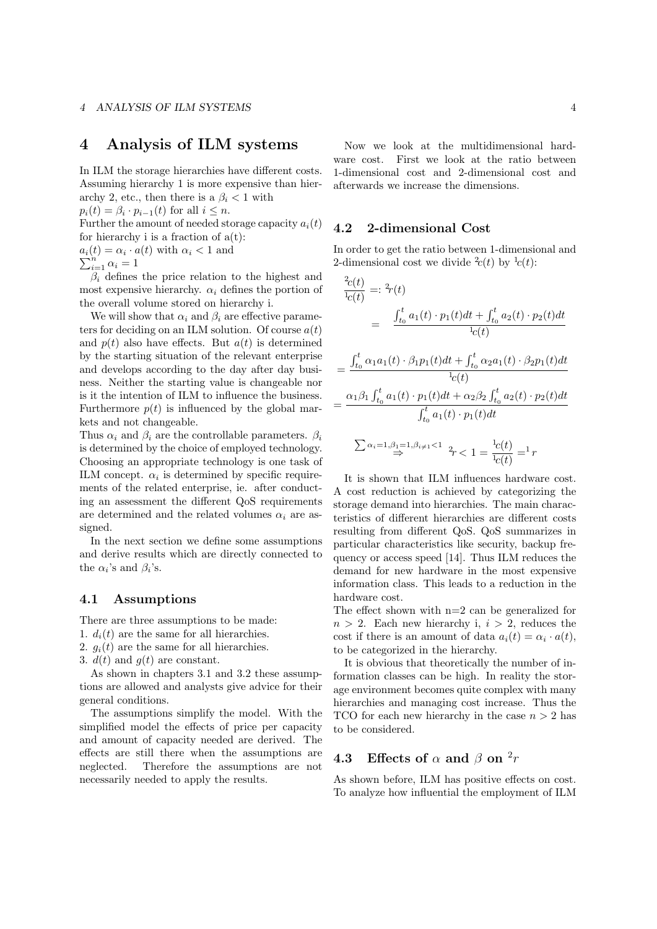### 4 Analysis of ILM systems

In ILM the storage hierarchies have different costs. Assuming hierarchy 1 is more expensive than hierarchy 2, etc., then there is a  $\beta_i < 1$  with  $p_i(t) = \beta_i \cdot p_{i-1}(t)$  for all  $i \leq n$ .

Further the amount of needed storage capacity  $a_i(t)$ for hierarchy i is a fraction of  $a(t)$ :

 $a_i(t) = \alpha_i \cdot a(t)$  with  $\alpha_i < 1$  and  $\sum_{i=1}^{n} \alpha_i = 1$ 

$$
\sum_{i=1}^{n} \alpha_i = 1
$$

 $\beta_i$  defines the price relation to the highest and most expensive hierarchy.  $\alpha_i$  defines the portion of the overall volume stored on hierarchy i.

We will show that  $\alpha_i$  and  $\beta_i$  are effective parameters for deciding on an ILM solution. Of course  $a(t)$ and  $p(t)$  also have effects. But  $a(t)$  is determined by the starting situation of the relevant enterprise and develops according to the day after day business. Neither the starting value is changeable nor is it the intention of ILM to influence the business. Furthermore  $p(t)$  is influenced by the global markets and not changeable.

Thus  $\alpha_i$  and  $\beta_i$  are the controllable parameters.  $\beta_i$ is determined by the choice of employed technology. Choosing an appropriate technology is one task of ILM concept.  $\alpha_i$  is determined by specific requirements of the related enterprise, ie. after conducting an assessment the different QoS requirements are determined and the related volumes  $\alpha_i$  are assigned.

In the next section we define some assumptions and derive results which are directly connected to the  $\alpha_i$ 's and  $\beta_i$ 's.

### 4.1 Assumptions

There are three assumptions to be made:

- 1.  $d_i(t)$  are the same for all hierarchies.
- 2.  $g_i(t)$  are the same for all hierarchies.
- 3.  $d(t)$  and  $q(t)$  are constant.

As shown in chapters 3.1 and 3.2 these assumptions are allowed and analysts give advice for their general conditions.

The assumptions simplify the model. With the simplified model the effects of price per capacity and amount of capacity needed are derived. The effects are still there when the assumptions are neglected. Therefore the assumptions are not necessarily needed to apply the results.

Now we look at the multidimensional hardware cost. First we look at the ratio between 1-dimensional cost and 2-dimensional cost and afterwards we increase the dimensions.

#### 4.2 2-dimensional Cost

In order to get the ratio between 1-dimensional and 2-dimensional cost we divide  $c(t)$  by  $\frac{1}{c(t)}$ :

$$
\frac{^{2}c(t)}{^{1}c(t)} = ^{2}r(t)
$$
\n
$$
= \frac{\int_{t_{0}}^{t} a_{1}(t) \cdot p_{1}(t)dt + \int_{t_{0}}^{t} a_{2}(t) \cdot p_{2}(t)dt}{^{1}c(t)}
$$
\n
$$
= \frac{\int_{t_{0}}^{t} \alpha_{1}a_{1}(t) \cdot \beta_{1}p_{1}(t)dt + \int_{t_{0}}^{t} \alpha_{2}a_{1}(t) \cdot \beta_{2}p_{1}(t)dt}{^{1}c(t)}
$$
\n
$$
= \frac{\alpha_{1}\beta_{1}\int_{t_{0}}^{t} a_{1}(t) \cdot p_{1}(t)dt + \alpha_{2}\beta_{2}\int_{t_{0}}^{t} a_{2}(t) \cdot p_{2}(t)dt}{\int_{t_{0}}^{t} a_{1}(t) \cdot p_{1}(t)dt}
$$
\n
$$
\sum \alpha_{i} = 1, \beta_{i} = 1, \beta_{i} \neq 1 < 1, \beta_{i} \neq 1
$$

It is shown that ILM influences hardware cost. A cost reduction is achieved by categorizing the storage demand into hierarchies. The main characteristics of different hierarchies are different costs resulting from different QoS. QoS summarizes in particular characteristics like security, backup frequency or access speed [14]. Thus ILM reduces the demand for new hardware in the most expensive information class. This leads to a reduction in the hardware cost.

 $c(t)$ 

The effect shown with  $n=2$  can be generalized for  $n > 2$ . Each new hierarchy i,  $i > 2$ , reduces the cost if there is an amount of data  $a_i(t) = \alpha_i \cdot a(t)$ , to be categorized in the hierarchy.

It is obvious that theoretically the number of information classes can be high. In reality the storage environment becomes quite complex with many hierarchies and managing cost increase. Thus the TCO for each new hierarchy in the case  $n > 2$  has to be considered.

### **4.3** Effects of  $\alpha$  and  $\beta$  on  $^2r$

As shown before, ILM has positive effects on cost. To analyze how influential the employment of ILM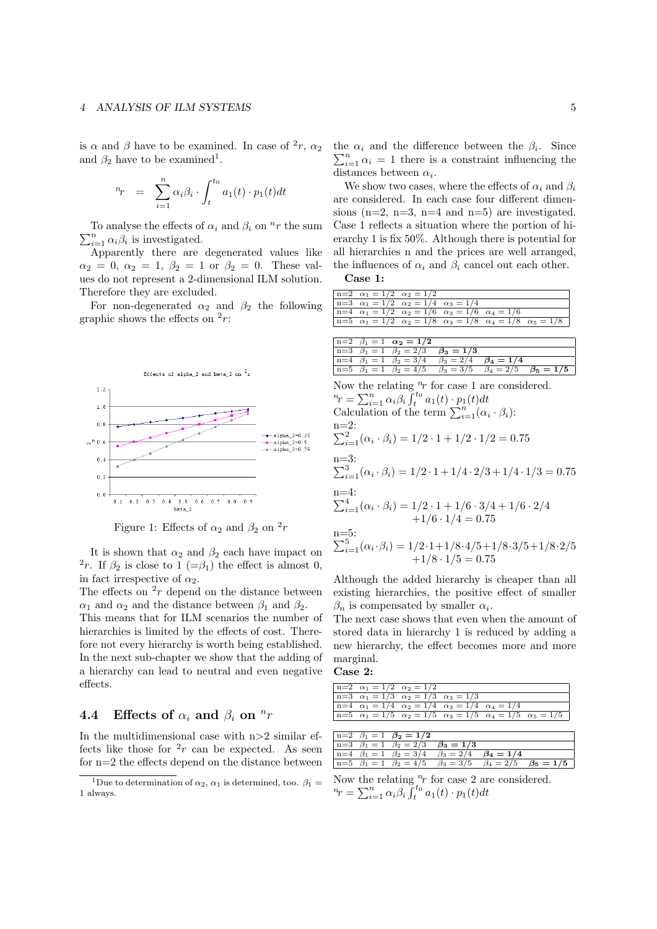#### 4 ANALYSIS OF ILM SYSTEMS 5

is  $\alpha$  and  $\beta$  have to be examined. In case of  $^2r$ ,  $\alpha_2$ and  $\beta_2$  have to be examined<sup>1</sup>.

$$
{}^{n}r = \sum_{i=1}^{n} \alpha_i \beta_i \cdot \int_{t}^{t_0} a_1(t) \cdot p_1(t) dt
$$

To analyse the effects of  $\alpha_i$  and  $\beta_i$  on <sup>n</sup>r the sum  $\sum_{i=1}^{n} \alpha_i \beta_i$  is investigated.

Apparently there are degenerated values like  $\alpha_2 = 0, \ \alpha_2 = 1, \ \beta_2 = 1 \ \text{or} \ \beta_2 = 0.$  These values do not represent a 2-dimensional ILM solution. Therefore they are excluded.

For non-degenerated  $\alpha_2$  and  $\beta_2$  the following graphic shows the effects on  $2r$ :



Figure 1: Effects of  $\alpha_2$  and  $\beta_2$  on  $^2r$ 

It is shown that  $\alpha_2$  and  $\beta_2$  each have impact on <sup>2</sup>r. If  $\beta_2$  is close to 1 (= $\beta_1$ ) the effect is almost 0, in fact irrespective of  $\alpha_2$ .

The effects on  $2r$  depend on the distance between  $\alpha_1$  and  $\alpha_2$  and the distance between  $\beta_1$  and  $\beta_2$ .

This means that for ILM scenarios the number of hierarchies is limited by the effects of cost. Therefore not every hierarchy is worth being established. In the next sub-chapter we show that the adding of a hierarchy can lead to neutral and even negative effects.

## **4.4** Effects of  $\alpha_i$  and  $\beta_i$  on  $\mathbb{R}^n$

In the multidimensional case with  $n>2$  similar effects like those for  $2r$  can be expected. As seen for n=2 the effects depend on the distance between the  $\alpha_i$  and the difference between the  $\beta_i$ . Since  $\sum_{i=1}^{n} \alpha_i = 1$  there is a constraint influencing the distances between  $\alpha_i$ .

We show two cases, where the effects of  $\alpha_i$  and  $\beta_i$ are considered. In each case four different dimensions ( $n=2$ ,  $n=3$ ,  $n=4$  and  $n=5$ ) are investigated. Case 1 reflects a situation where the portion of hierarchy 1 is fix 50%. Although there is potential for all hierarchies n and the prices are well arranged, the influences of  $\alpha_i$  and  $\beta_i$  cancel out each other.

Case 1:

| $n=2$ $\alpha_1 = 1/2$ $\alpha_2 = 1/2$ |                                                                           |  |                                                                                            |
|-----------------------------------------|---------------------------------------------------------------------------|--|--------------------------------------------------------------------------------------------|
|                                         | $n=3$ $\alpha_1 = 1/2$ $\alpha_2 = 1/4$ $\alpha_3 = 1/4$                  |  |                                                                                            |
|                                         | $n=4$ $\alpha_1 = 1/2$ $\alpha_2 = 1/6$ $\alpha_3 = 1/6$ $\alpha_4 = 1/6$ |  |                                                                                            |
|                                         |                                                                           |  | $n=5$ $\alpha_1 = 1/2$ $\alpha_2 = 1/8$ $\alpha_3 = 1/8$ $\alpha_4 = 1/8$ $\alpha_5 = 1/8$ |

|  | $n=2$ $\beta_1 = 1$ $\alpha_2 = 1/2$                                                |  |  |
|--|-------------------------------------------------------------------------------------|--|--|
|  | $n=3$ $\beta_1 = 1$ $\beta_2 = 2/3$ $\beta_3 = 1/3$                                 |  |  |
|  | $n=4$ $\beta_1 = 1$ $\beta_2 = 3/4$ $\beta_3 = 2/4$ $\beta_4 = 1/4$                 |  |  |
|  | $n=5$ $\beta_1 = 1$ $\beta_2 = 4/5$ $\beta_3 = 3/5$ $\beta_4 = 2/5$ $\beta_5 = 1/5$ |  |  |

Now the relating  $\overset{n}{\cdot}r$  for case 1 are considered.  $n_r = \sum_{i=1}^n \alpha_i \beta_i \int_t^{t_0} a_1(t) \cdot p_1(t) dt$ Calculation of the term  $\sum_{i=1}^{n} (\alpha_i \cdot \beta_i)$ : n=2:  $\sum_{i=1}^{2} (\alpha_i \cdot \beta_i) = 1/2 \cdot 1 + 1/2 \cdot 1/2 = 0.75$ n=3:  $\sum_{i=1}^{3} (\alpha_i \cdot \beta_i) = 1/2 \cdot 1 + 1/4 \cdot 2/3 + 1/4 \cdot 1/3 = 0.75$ n=4:  $\sum_{i=1}^{4} (\alpha_i \cdot \beta_i) = 1/2 \cdot 1 + 1/6 \cdot 3/4 + 1/6 \cdot 2/4$  $+1/6 \cdot 1/4 = 0.75$ n=5:  $\sum_{i=1}^{5} (\alpha_i \cdot \beta_i) = 1/2 \cdot 1 + 1/8 \cdot 4/5 + 1/8 \cdot 3/5 + 1/8 \cdot 2/5$  $+1/8 \cdot 1/5 = 0.75$ Although the added hierarchy is cheaper than all

existing hierarchies, the positive effect of smaller  $\beta_n$  is compensated by smaller  $\alpha_i$ .

The next case shows that even when the amount of stored data in hierarchy 1 is reduced by adding a new hierarchy, the effect becomes more and more marginal.

#### Case 2:

| $n=2$ $\alpha_1 = 1/2$ $\alpha_2 = 1/2$ |                                                                           |  |                                                                                            |
|-----------------------------------------|---------------------------------------------------------------------------|--|--------------------------------------------------------------------------------------------|
|                                         | $n=3$ $\alpha_1 = 1/3$ $\alpha_2 = 1/3$ $\alpha_3 = 1/3$                  |  |                                                                                            |
|                                         | $n=4$ $\alpha_1 = 1/4$ $\alpha_2 = 1/4$ $\alpha_3 = 1/4$ $\alpha_4 = 1/4$ |  |                                                                                            |
|                                         |                                                                           |  | $n=5$ $\alpha_1 = 1/5$ $\alpha_2 = 1/5$ $\alpha_3 = 1/5$ $\alpha_4 = 1/5$ $\alpha_5 = 1/5$ |
|                                         |                                                                           |  |                                                                                            |

|  | $n=2$ $\beta_1 = 1$ $\beta_2 = 1/2$                                                 |  |  |
|--|-------------------------------------------------------------------------------------|--|--|
|  | $n=3$ $\beta_1 = 1$ $\beta_2 = 2/3$ $\beta_3 = 1/3$                                 |  |  |
|  | $n=4$ $\beta_1 = 1$ $\beta_2 = 3/4$ $\beta_3 = 2/4$ $\beta_4 = 1/4$                 |  |  |
|  | $n=5$ $\beta_1 = 1$ $\beta_2 = 4/5$ $\beta_3 = 3/5$ $\beta_4 = 2/5$ $\beta_5 = 1/5$ |  |  |

Now the relating  $n_r$  for case 2 are considered.  $n_r = \sum_{i=1}^n \alpha_i \beta_i \int_t^{t_0} a_1(t) \cdot p_1(t) dt$ 

<sup>&</sup>lt;sup>1</sup>Due to determination of  $\alpha_2$ ,  $\alpha_1$  is determined, too.  $\beta_1 =$ 1 always.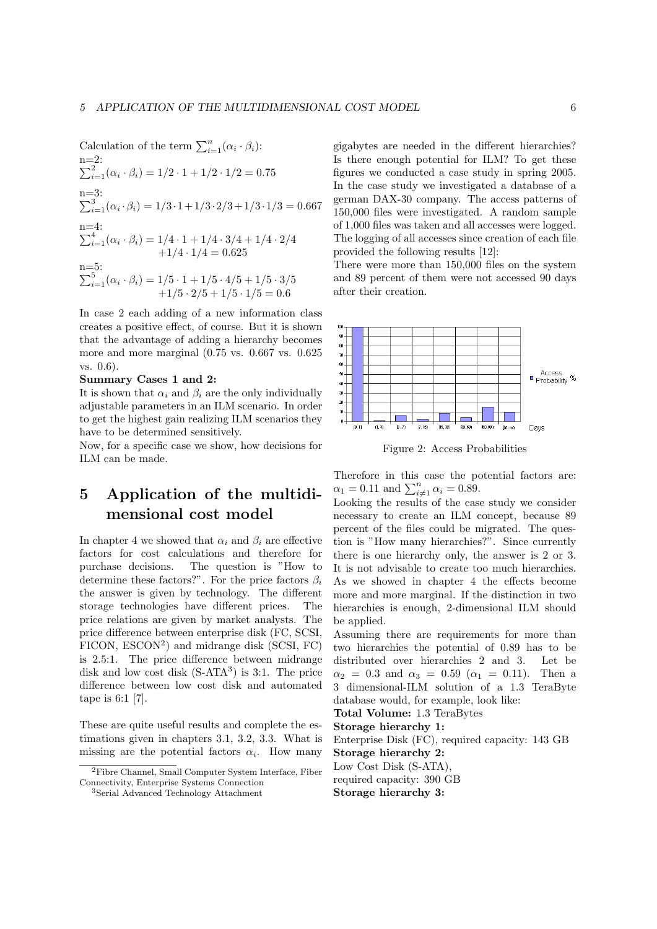Calculation of the term  $\sum_{i=1}^{n} (\alpha_i \cdot \beta_i)$ : n=2:  $\sum_{i=1}^{2} (\alpha_i \cdot \beta_i) = 1/2 \cdot 1 + 1/2 \cdot 1/2 = 0.75$ n=3:  $\sum_{i=1}^{3} (\alpha_i \cdot \beta_i) = 1/3 \cdot 1 + 1/3 \cdot 2/3 + 1/3 \cdot 1/3 = 0.667$ n=4:  $\sum_{i=1}^{4} (\alpha_i \cdot \beta_i) = 1/4 \cdot 1 + 1/4 \cdot 3/4 + 1/4 \cdot 2/4$  $+1/4 \cdot 1/4 = 0.625$ n=5:  $\sum_{i=1}^{5} (\alpha_i \cdot \beta_i) = 1/5 \cdot 1 + 1/5 \cdot 4/5 + 1/5 \cdot 3/5$  $+1/5 \cdot 2/5 + 1/5 \cdot 1/5 = 0.6$ 

In case 2 each adding of a new information class creates a positive effect, of course. But it is shown that the advantage of adding a hierarchy becomes more and more marginal (0.75 vs. 0.667 vs. 0.625 vs. 0.6).

Summary Cases 1 and 2:

It is shown that  $\alpha_i$  and  $\beta_i$  are the only individually adjustable parameters in an ILM scenario. In order to get the highest gain realizing ILM scenarios they have to be determined sensitively.

Now, for a specific case we show, how decisions for ILM can be made.

# 5 Application of the multidimensional cost model

In chapter 4 we showed that  $\alpha_i$  and  $\beta_i$  are effective factors for cost calculations and therefore for purchase decisions. The question is "How to determine these factors?". For the price factors  $\beta_i$ the answer is given by technology. The different storage technologies have different prices. The price relations are given by market analysts. The price difference between enterprise disk (FC, SCSI, FICON, ESCON<sup>2</sup> ) and midrange disk (SCSI, FC) is 2.5:1. The price difference between midrange disk and low cost disk  $(S-ATA^3)$  is 3:1. The price difference between low cost disk and automated tape is 6:1 [7].

These are quite useful results and complete the estimations given in chapters 3.1, 3.2, 3.3. What is missing are the potential factors  $\alpha_i$ . How many

gigabytes are needed in the different hierarchies? Is there enough potential for ILM? To get these figures we conducted a case study in spring 2005. In the case study we investigated a database of a german DAX-30 company. The access patterns of 150,000 files were investigated. A random sample of 1,000 files was taken and all accesses were logged. The logging of all accesses since creation of each file provided the following results [12]:

There were more than 150,000 files on the system and 89 percent of them were not accessed 90 days after their creation.



Figure 2: Access Probabilities

Therefore in this case the potential factors are:  $\alpha_1 = 0.11$  and  $\sum_{i \neq 1}^{n} \alpha_i = 0.89$ .

Looking the results of the case study we consider necessary to create an ILM concept, because 89 percent of the files could be migrated. The question is "How many hierarchies?". Since currently there is one hierarchy only, the answer is 2 or 3. It is not advisable to create too much hierarchies. As we showed in chapter 4 the effects become more and more marginal. If the distinction in two hierarchies is enough, 2-dimensional ILM should be applied.

Assuming there are requirements for more than two hierarchies the potential of 0.89 has to be distributed over hierarchies 2 and 3. Let be  $\alpha_2 = 0.3$  and  $\alpha_3 = 0.59$  ( $\alpha_1 = 0.11$ ). Then a 3 dimensional-ILM solution of a 1.3 TeraByte database would, for example, look like:

Total Volume: 1.3 TeraBytes

Storage hierarchy 1: Enterprise Disk (FC), required capacity: 143 GB Storage hierarchy 2: Low Cost Disk (S-ATA), required capacity: 390 GB

Storage hierarchy 3:

<sup>2</sup>Fibre Channel, Small Computer System Interface, Fiber Connectivity, Enterprise Systems Connection

<sup>3</sup>Serial Advanced Technology Attachment